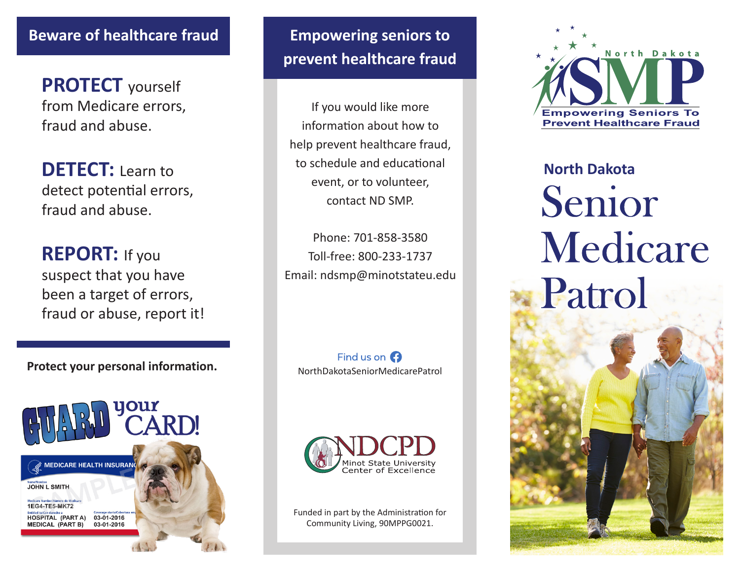## **Beware of healthcare fraud**

**PROTECT** yourself from Medicare errors, fraud and abuse.

**DETECT:** Learn to detect potential errors, fraud and abuse.

**REPORT:** If you suspect that you have been a target of errors, fraud or abuse, report it!

**Protect your personal information.**



**Empowering seniors to prevent healthcare fraud**

If you would like more information about how to help prevent healthcare fraud, to schedule and educational event, or to volunteer, contact ND SMP.

Phone: 701-858-3580 Toll-free: 800-233-1737 Email: ndsmp@minotstateu.edu

Find us on  $\Omega$ NorthDakotaSeniorMedicarePatrol



Funded in part by the Administration for Community Living, 90MPPG0021.



**North Dakota** Senior Medicare Patrol